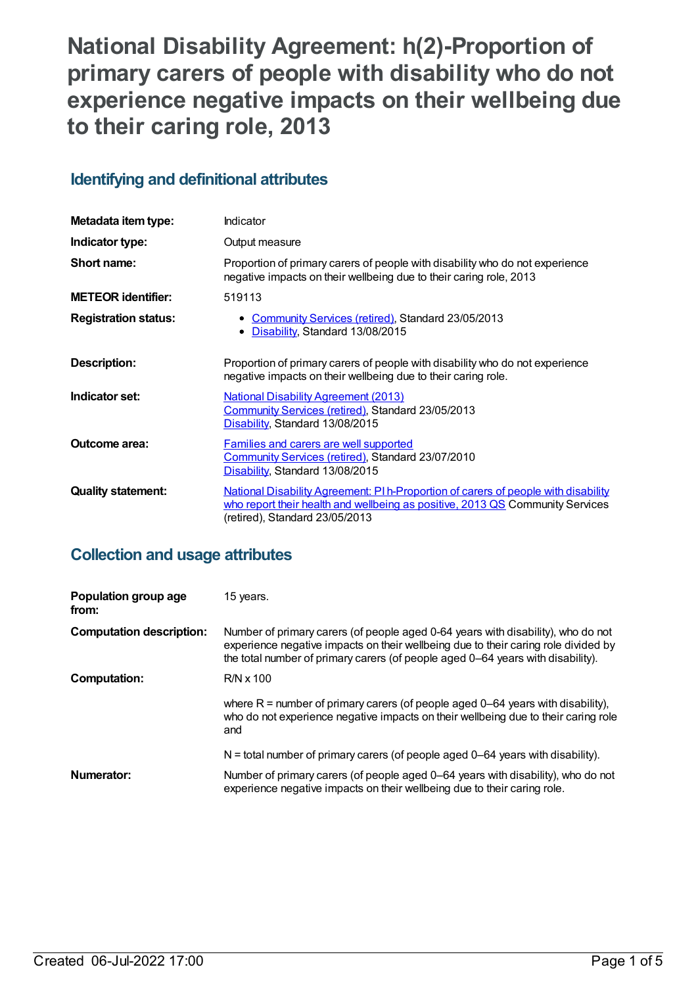# **National Disability Agreement: h(2)-Proportion of primary carers of people with disability who do not experience negative impacts on their wellbeing due to their caring role, 2013**

## **Identifying and definitional attributes**

| Metadata item type:         | Indicator                                                                                                                                                                                             |
|-----------------------------|-------------------------------------------------------------------------------------------------------------------------------------------------------------------------------------------------------|
| Indicator type:             | Output measure                                                                                                                                                                                        |
| Short name:                 | Proportion of primary carers of people with disability who do not experience<br>negative impacts on their wellbeing due to their caring role, 2013                                                    |
| <b>METEOR identifier:</b>   | 519113                                                                                                                                                                                                |
| <b>Registration status:</b> | • Community Services (retired), Standard 23/05/2013<br>Disability, Standard 13/08/2015<br>$\bullet$                                                                                                   |
| <b>Description:</b>         | Proportion of primary carers of people with disability who do not experience<br>negative impacts on their wellbeing due to their caring role.                                                         |
| Indicator set:              | <b>National Disability Agreement (2013)</b><br>Community Services (retired), Standard 23/05/2013<br>Disability, Standard 13/08/2015                                                                   |
| <b>Outcome area:</b>        | <b>Families and carers are well supported</b><br>Community Services (retired), Standard 23/07/2010<br>Disability, Standard 13/08/2015                                                                 |
| <b>Quality statement:</b>   | National Disability Agreement: PI h-Proportion of carers of people with disability<br>who report their health and wellbeing as positive, 2013 QS Community Services<br>(retired), Standard 23/05/2013 |

## **Collection and usage attributes**

| Population group age<br>from:   | 15 years.                                                                                                                                                                                                                                                 |
|---------------------------------|-----------------------------------------------------------------------------------------------------------------------------------------------------------------------------------------------------------------------------------------------------------|
| <b>Computation description:</b> | Number of primary carers (of people aged 0-64 years with disability), who do not<br>experience negative impacts on their wellbeing due to their caring role divided by<br>the total number of primary carers (of people aged 0–64 years with disability). |
| <b>Computation:</b>             | $R/N \times 100$                                                                                                                                                                                                                                          |
|                                 | where $R =$ number of primary carers (of people aged 0–64 years with disability),<br>who do not experience negative impacts on their wellbeing due to their caring role<br>and                                                                            |
|                                 | $N =$ total number of primary carers (of people aged 0-64 years with disability).                                                                                                                                                                         |
| Numerator:                      | Number of primary carers (of people aged 0–64 years with disability), who do not<br>experience negative impacts on their wellbeing due to their caring role.                                                                                              |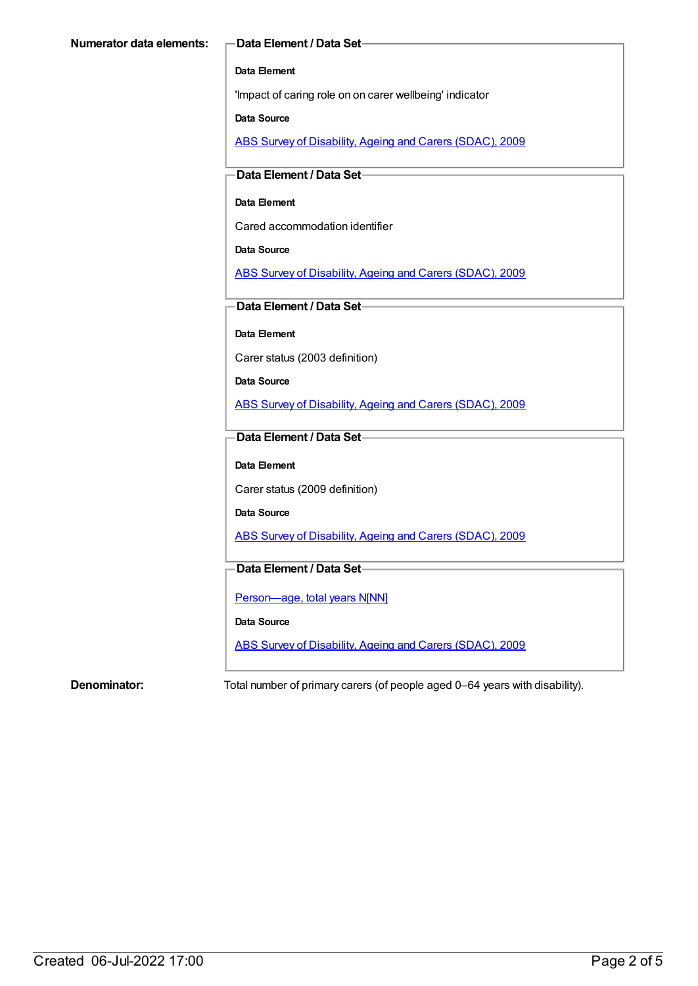### **Data Element**

'Impact of caring role on on carer wellbeing' indicator

### **Data Source**

ABS Survey of [Disability,](https://meteor.aihw.gov.au/content/445288) Ageing and Carers (SDAC), 2009

### **Data Element / Data Set**

### **Data Element**

Cared accommodation identifier

### **Data Source**

ABS Survey of [Disability,](https://meteor.aihw.gov.au/content/445288) Ageing and Carers (SDAC), 2009

### **Data Element / Data Set**

**Data Element**

Carer status (2003 definition)

**Data Source**

ABS Survey of [Disability,](https://meteor.aihw.gov.au/content/445288) Ageing and Carers (SDAC), 2009

### **Data Element / Data Set**

### **Data Element**

Carer status (2009 definition)

**Data Source**

ABS Survey of [Disability,](https://meteor.aihw.gov.au/content/445288) Ageing and Carers (SDAC), 2009

### **Data Element / Data Set**

Person-age, total years N[NN]

### **Data Source**

ABS Survey of [Disability,](https://meteor.aihw.gov.au/content/445288) Ageing and Carers (SDAC), 2009

**Denominator:** Total number of primary carers (of people aged 0–64 years with disability).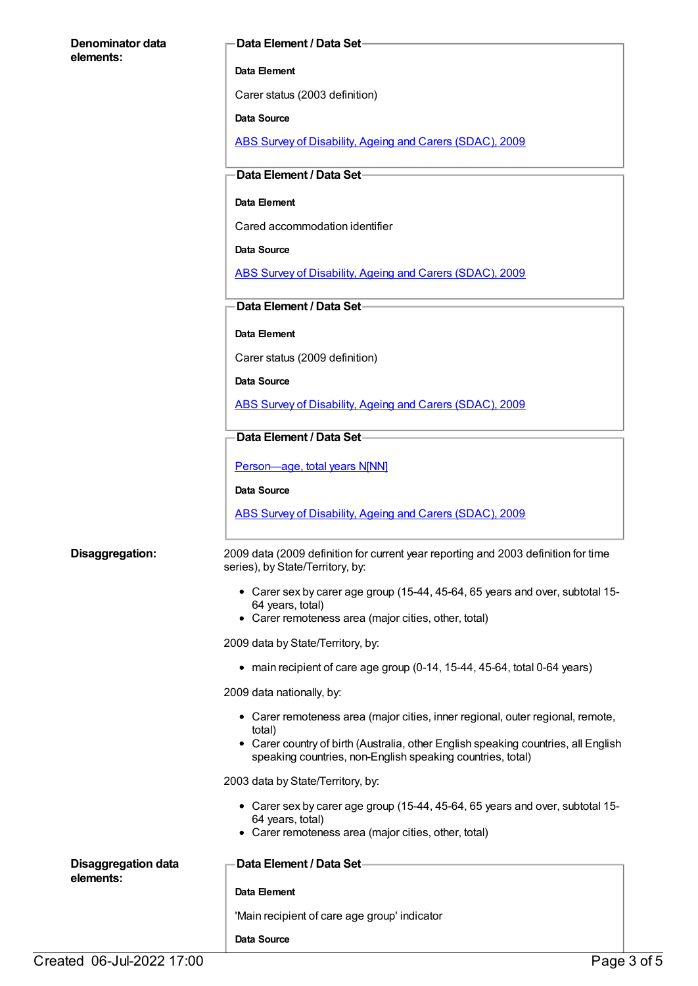| Denominator data                        | Data Element / Data Set-                                                                                                                         |
|-----------------------------------------|--------------------------------------------------------------------------------------------------------------------------------------------------|
| elements:                               | Data Element                                                                                                                                     |
|                                         | Carer status (2003 definition)                                                                                                                   |
|                                         | Data Source                                                                                                                                      |
|                                         | ABS Survey of Disability, Ageing and Carers (SDAC), 2009                                                                                         |
|                                         | -Data Element / Data Set-                                                                                                                        |
|                                         | Data Element                                                                                                                                     |
|                                         | Cared accommodation identifier                                                                                                                   |
|                                         | Data Source                                                                                                                                      |
|                                         | ABS Survey of Disability, Ageing and Carers (SDAC), 2009                                                                                         |
|                                         | Data Element / Data Set-                                                                                                                         |
|                                         | Data Element                                                                                                                                     |
|                                         | Carer status (2009 definition)                                                                                                                   |
|                                         | Data Source                                                                                                                                      |
|                                         | ABS Survey of Disability, Ageing and Carers (SDAC), 2009                                                                                         |
|                                         | Data Element / Data Set-                                                                                                                         |
|                                         | Person-age, total years N[NN]                                                                                                                    |
|                                         | <b>Data Source</b>                                                                                                                               |
|                                         | ABS Survey of Disability, Ageing and Carers (SDAC), 2009                                                                                         |
| Disaggregation:                         | 2009 data (2009 definition for current year reporting and 2003 definition for time<br>series), by State/Territory, by:                           |
|                                         | • Carer sex by carer age group (15-44, 45-64, 65 years and over, subtotal 15-<br>64 years, total)                                                |
|                                         | • Carer remoteness area (major cities, other, total)                                                                                             |
|                                         | 2009 data by State/Territory, by:                                                                                                                |
|                                         | • main recipient of care age group (0-14, 15-44, 45-64, total 0-64 years)                                                                        |
|                                         | 2009 data nationally, by:                                                                                                                        |
|                                         | • Carer remoteness area (major cities, inner regional, outer regional, remote,<br>total)                                                         |
|                                         | • Carer country of birth (Australia, other English speaking countries, all English<br>speaking countries, non-English speaking countries, total) |
|                                         | 2003 data by State/Territory, by:                                                                                                                |
|                                         | • Carer sex by carer age group (15-44, 45-64, 65 years and over, subtotal 15-<br>64 years, total)                                                |
|                                         | • Carer remoteness area (major cities, other, total)                                                                                             |
| <b>Disaggregation data</b><br>elements: | Data Element / Data Set-                                                                                                                         |
|                                         | Data Element                                                                                                                                     |
|                                         | 'Main recipient of care age group' indicator                                                                                                     |
|                                         | Data Source                                                                                                                                      |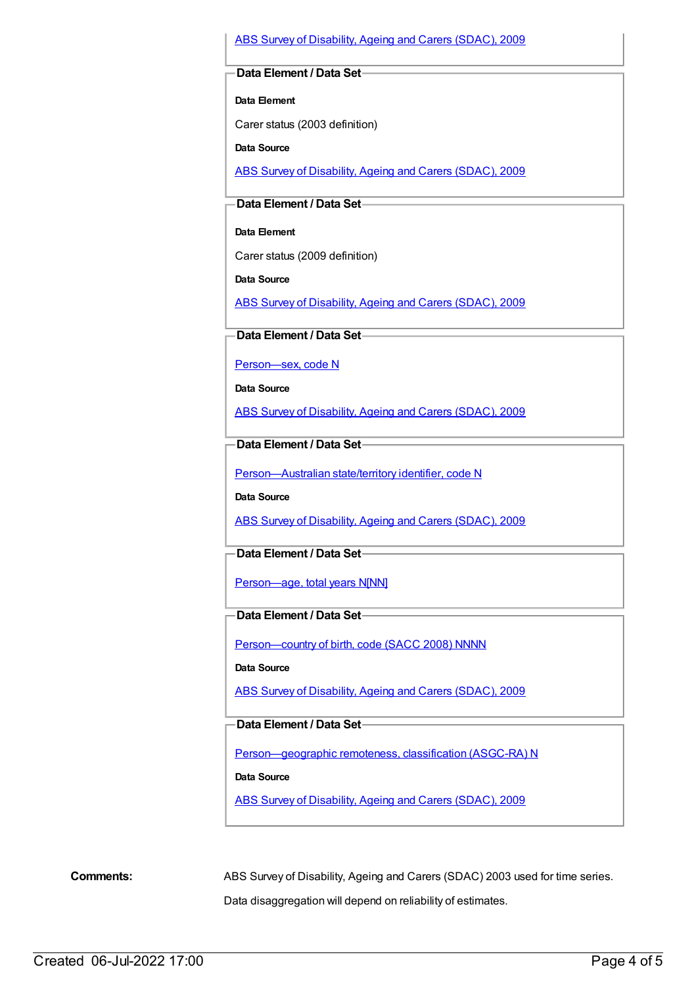### ABS Survey of [Disability,](https://meteor.aihw.gov.au/content/445288) Ageing and Carers (SDAC), 2009

### **Data Element / Data Set**

**Data Element**

Carer status (2003 definition)

**Data Source**

ABS Survey of [Disability,](https://meteor.aihw.gov.au/content/445288) Ageing and Carers (SDAC), 2009

### **Data Element / Data Set**

**Data Element**

Carer status (2009 definition)

**Data Source**

ABS Survey of [Disability,](https://meteor.aihw.gov.au/content/445288) Ageing and Carers (SDAC), 2009

**Data Element / Data Set**

[Person—sex,](https://meteor.aihw.gov.au/content/270263) code N

**Data Source**

ABS Survey of [Disability,](https://meteor.aihw.gov.au/content/445288) Ageing and Carers (SDAC), 2009

### **Data Element / Data Set**

[Person—Australian](https://meteor.aihw.gov.au/content/286919) state/territory identifier, code N

**Data Source**

ABS Survey of [Disability,](https://meteor.aihw.gov.au/content/445288) Ageing and Carers (SDAC), 2009

**Data Element / Data Set**

[Person—age,](https://meteor.aihw.gov.au/content/303794) total years N[NN]

### **Data Element / Data Set**

[Person—country](https://meteor.aihw.gov.au/content/370943) of birth, code (SACC 2008) NNNN

**Data Source**

ABS Survey of [Disability,](https://meteor.aihw.gov.au/content/445288) Ageing and Carers (SDAC), 2009

**Data Element / Data Set**

[Person—geographic](https://meteor.aihw.gov.au/content/489826) remoteness, classification (ASGC-RA) N

**Data Source**

ABS Survey of [Disability,](https://meteor.aihw.gov.au/content/445288) Ageing and Carers (SDAC), 2009

**Comments:** ABS Survey of Disability, Ageing and Carers (SDAC) 2003 used for time series.

Data disaggregation will depend on reliability of estimates.